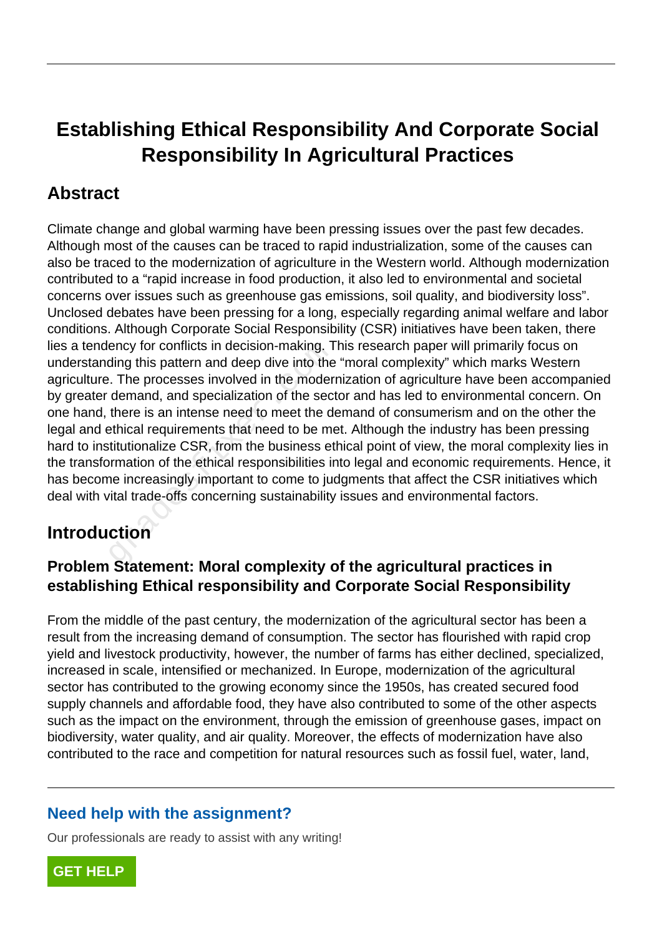# **Establishing Ethical Responsibility And Corporate Social Responsibility In Agricultural Practices**

## **Abstract**

Climate change and global warming have been pressing issues over the past few decades. Although most of the causes can be traced to rapid industrialization, some of the causes can also be traced to the modernization of agriculture in the Western world. Although modernization contributed to a "rapid increase in food production, it also led to environmental and societal concerns over issues such as greenhouse gas emissions, soil quality, and biodiversity loss". Unclosed debates have been pressing for a long, especially regarding animal welfare and labor conditions. Although Corporate Social Responsibility (CSR) initiatives have been taken, there lies a tendency for conflicts in decision-making. This research paper will primarily focus on understanding this pattern and deep dive into the "moral complexity" which marks Western agriculture. The processes involved in the modernization of agriculture have been accompanied by greater demand, and specialization of the sector and has led to environmental concern. On one hand, there is an intense need to meet the demand of consumerism and on the other the legal and ethical requirements that need to be met. Although the industry has been pressing hard to institutionalize CSR, from the business ethical point of view, the moral complexity lies in the transformation of the ethical responsibilities into legal and economic requirements. Hence, it has become increasingly important to come to judgments that affect the CSR initiatives which deal with vital trade-offs concerning sustainability issues and environmental factors. ency for conflicts in decision-making. I<br>ding this pattern and deep dive into the<br>i. The processes involved in the moder<br>demand, and specialization of the sect<br>there is an intense need to meet the de<br>sthical requirements t

# **Introduction**

### **Problem Statement: Moral complexity of the agricultural practices in establishing Ethical responsibility and Corporate Social Responsibility**

From the middle of the past century, the modernization of the agricultural sector has been a result from the increasing demand of consumption. The sector has flourished with rapid crop yield and livestock productivity, however, the number of farms has either declined, specialized, increased in scale, intensified or mechanized. In Europe, modernization of the agricultural sector has contributed to the growing economy since the 1950s, has created secured food supply channels and affordable food, they have also contributed to some of the other aspects such as the impact on the environment, through the emission of greenhouse gases, impact on biodiversity, water quality, and air quality. Moreover, the effects of modernization have also contributed to the race and competition for natural resources such as fossil fuel, water, land,

### **Need help with the assignment?**

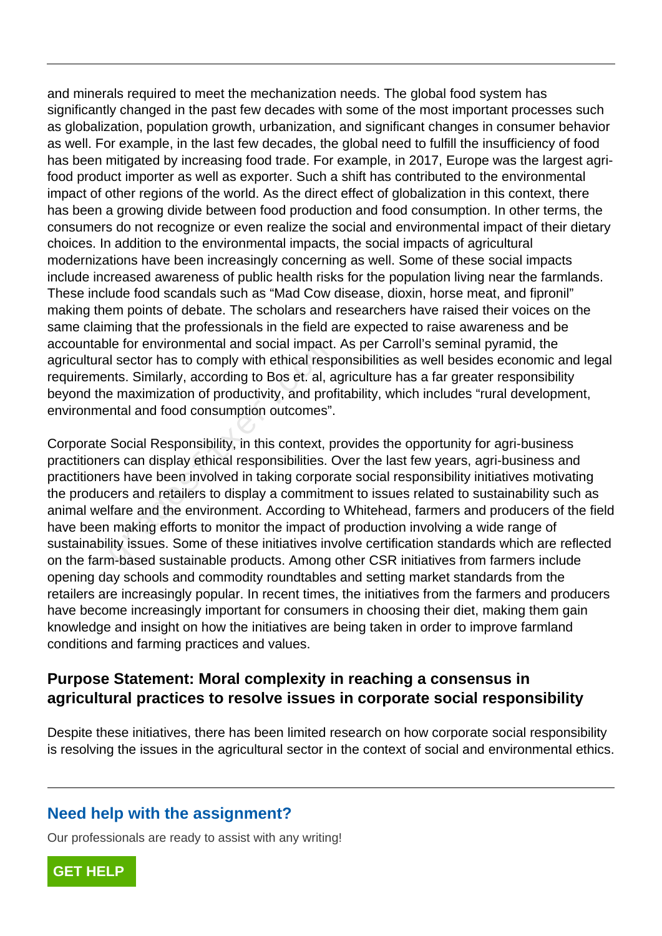and minerals required to meet the mechanization needs. The global food system has significantly changed in the past few decades with some of the most important processes such as globalization, population growth, urbanization, and significant changes in consumer behavior as well. For example, in the last few decades, the global need to fulfill the insufficiency of food has been mitigated by increasing food trade. For example, in 2017, Europe was the largest agrifood product importer as well as exporter. Such a shift has contributed to the environmental impact of other regions of the world. As the direct effect of globalization in this context, there has been a growing divide between food production and food consumption. In other terms, the consumers do not recognize or even realize the social and environmental impact of their dietary choices. In addition to the environmental impacts, the social impacts of agricultural modernizations have been increasingly concerning as well. Some of these social impacts include increased awareness of public health risks for the population living near the farmlands. These include food scandals such as "Mad Cow disease, dioxin, horse meat, and fipronil" making them points of debate. The scholars and researchers have raised their voices on the same claiming that the professionals in the field are expected to raise awareness and be accountable for environmental and social impact. As per Carroll's seminal pyramid, the agricultural sector has to comply with ethical responsibilities as well besides economic and legal requirements. Similarly, according to Bos et. al, agriculture has a far greater responsibility beyond the maximization of productivity, and profitability, which includes "rural development, environmental and food consumption outcomes".

Corporate Social Responsibility, in this context, provides the opportunity for agri-business practitioners can display ethical responsibilities. Over the last few years, agri-business and practitioners have been involved in taking corporate social responsibility initiatives motivating the producers and retailers to display a commitment to issues related to sustainability such as animal welfare and the environment. According to Whitehead, farmers and producers of the field have been making efforts to monitor the impact of production involving a wide range of sustainability issues. Some of these initiatives involve certification standards which are reflected on the farm-based sustainable products. Among other CSR initiatives from farmers include opening day schools and commodity roundtables and setting market standards from the retailers are increasingly popular. In recent times, the initiatives from the farmers and producers have become increasingly important for consumers in choosing their diet, making them gain knowledge and insight on how the initiatives are being taken in order to improve farmland conditions and farming practices and values. The formal and social impact.<br>I sector has to comply with ethical resp<br>nts. Similarly, according to Bos et. al, a<br>Promal and food consumption outcomes".<br>Social Responsibility, in this context, p<br>rs can display ethical resp

#### **Purpose Statement: Moral complexity in reaching a consensus in agricultural practices to resolve issues in corporate social responsibility**

Despite these initiatives, there has been limited research on how corporate social responsibility is resolving the issues in the agricultural sector in the context of social and environmental ethics.

#### **Need help with the assignment?**

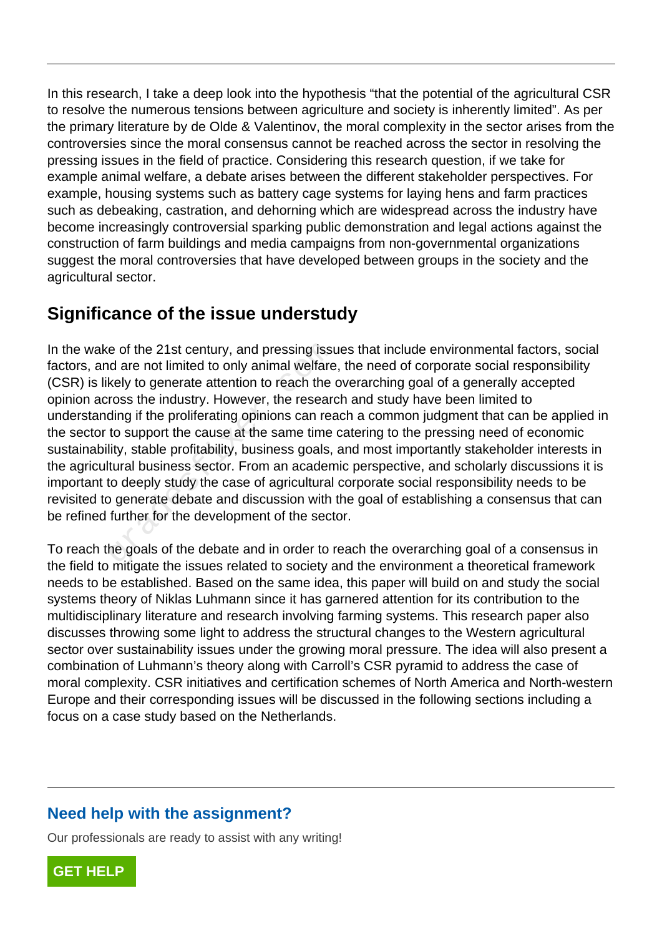In this research, I take a deep look into the hypothesis "that the potential of the agricultural CSR to resolve the numerous tensions between agriculture and society is inherently limited". As per the primary literature by de Olde & Valentinov, the moral complexity in the sector arises from the controversies since the moral consensus cannot be reached across the sector in resolving the pressing issues in the field of practice. Considering this research question, if we take for example animal welfare, a debate arises between the different stakeholder perspectives. For example, housing systems such as battery cage systems for laying hens and farm practices such as debeaking, castration, and dehorning which are widespread across the industry have become increasingly controversial sparking public demonstration and legal actions against the construction of farm buildings and media campaigns from non-governmental organizations suggest the moral controversies that have developed between groups in the society and the agricultural sector.

# **Significance of the issue understudy**

In the wake of the 21st century, and pressing issues that include environmental factors, social factors, and are not limited to only animal welfare, the need of corporate social responsibility (CSR) is likely to generate attention to reach the overarching goal of a generally accepted opinion across the industry. However, the research and study have been limited to understanding if the proliferating opinions can reach a common judgment that can be applied in the sector to support the cause at the same time catering to the pressing need of economic sustainability, stable profitability, business goals, and most importantly stakeholder interests in the agricultural business sector. From an academic perspective, and scholarly discussions it is important to deeply study the case of agricultural corporate social responsibility needs to be revisited to generate debate and discussion with the goal of establishing a consensus that can be refined further for the development of the sector. e of the 21st century, and pressing issue dare not limited to only animal welfare<br>kely to generate attention to reach the<br>ross the industry. However, the researe<br>ding if the proliferating opinions can rea<br>to support the ca

To reach the goals of the debate and in order to reach the overarching goal of a consensus in the field to mitigate the issues related to society and the environment a theoretical framework needs to be established. Based on the same idea, this paper will build on and study the social systems theory of Niklas Luhmann since it has garnered attention for its contribution to the multidisciplinary literature and research involving farming systems. This research paper also discusses throwing some light to address the structural changes to the Western agricultural sector over sustainability issues under the growing moral pressure. The idea will also present a combination of Luhmann's theory along with Carroll's CSR pyramid to address the case of moral complexity. CSR initiatives and certification schemes of North America and North-western Europe and their corresponding issues will be discussed in the following sections including a focus on a case study based on the Netherlands.

### **Need help with the assignment?**

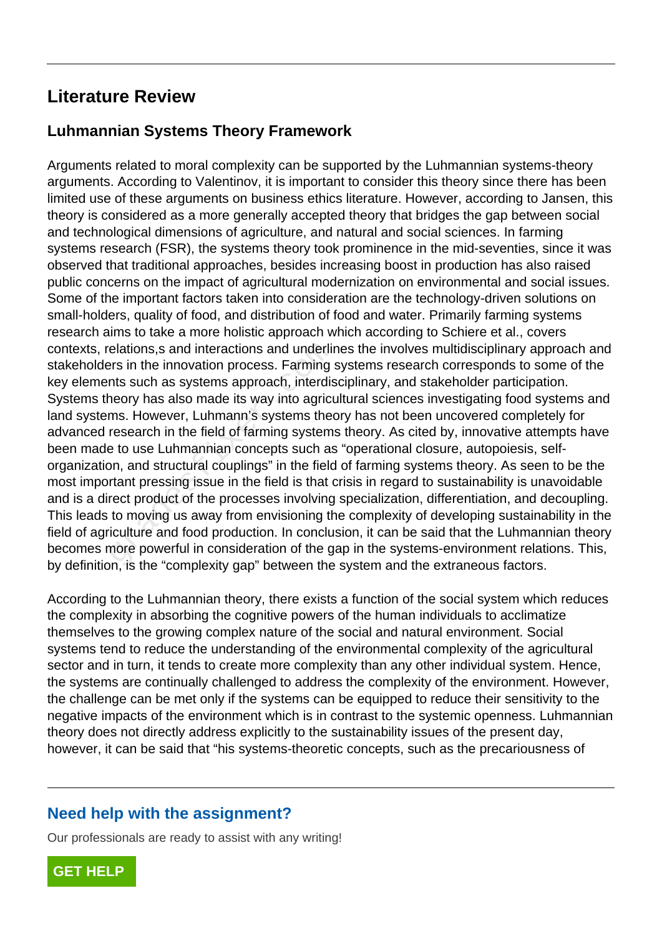### **Literature Review**

#### **Luhmannian Systems Theory Framework**

Arguments related to moral complexity can be supported by the Luhmannian systems-theory arguments. According to Valentinov, it is important to consider this theory since there has been limited use of these arguments on business ethics literature. However, according to Jansen, this theory is considered as a more generally accepted theory that bridges the gap between social and technological dimensions of agriculture, and natural and social sciences. In farming systems research (FSR), the systems theory took prominence in the mid-seventies, since it was observed that traditional approaches, besides increasing boost in production has also raised public concerns on the impact of agricultural modernization on environmental and social issues. Some of the important factors taken into consideration are the technology-driven solutions on small-holders, quality of food, and distribution of food and water. Primarily farming systems research aims to take a more holistic approach which according to Schiere et al., covers contexts, relations,s and interactions and underlines the involves multidisciplinary approach and stakeholders in the innovation process. Farming systems research corresponds to some of the key elements such as systems approach, interdisciplinary, and stakeholder participation. Systems theory has also made its way into agricultural sciences investigating food systems and land systems. However, Luhmann's systems theory has not been uncovered completely for advanced research in the field of farming systems theory. As cited by, innovative attempts have been made to use Luhmannian concepts such as "operational closure, autopoiesis, selforganization, and structural couplings" in the field of farming systems theory. As seen to be the most important pressing issue in the field is that crisis in regard to sustainability is unavoidable and is a direct product of the processes involving specialization, differentiation, and decoupling. This leads to moving us away from envisioning the complexity of developing sustainability in the field of agriculture and food production. In conclusion, it can be said that the Luhmannian theory becomes more powerful in consideration of the gap in the systems-environment relations. This, by definition, is the "complexity gap" between the system and the extraneous factors. elations,s and interactions and underlinentially the innovation process. Farming that such as systems approach, interdisclenenty has also made its way into agricult ms. However, Luhmann's systems the research in the field

According to the Luhmannian theory, there exists a function of the social system which reduces the complexity in absorbing the cognitive powers of the human individuals to acclimatize themselves to the growing complex nature of the social and natural environment. Social systems tend to reduce the understanding of the environmental complexity of the agricultural sector and in turn, it tends to create more complexity than any other individual system. Hence, the systems are continually challenged to address the complexity of the environment. However, the challenge can be met only if the systems can be equipped to reduce their sensitivity to the negative impacts of the environment which is in contrast to the systemic openness. Luhmannian theory does not directly address explicitly to the sustainability issues of the present day, however, it can be said that "his systems-theoretic concepts, such as the precariousness of

### **Need help with the assignment?**

Our professionals are ready to assist with any writing!

**[GET HELP](https://my.gradesfixer.com/order?utm_campaign=pdf_sample)**